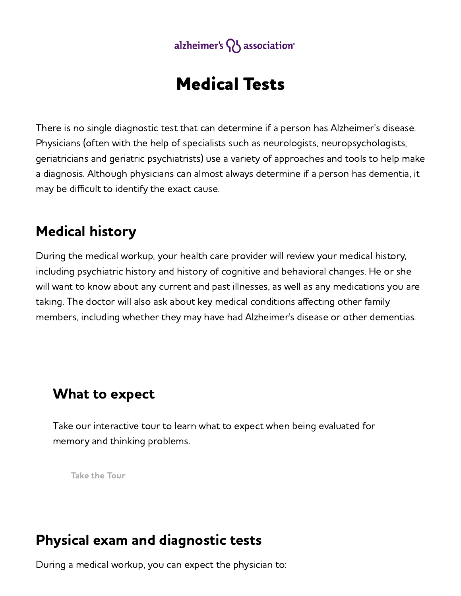

# Medical Tests

There is no single diagnostic test that can determine if a person has Alzheimer's disease. Physicians (often with the help of specialists such as neurologists, neuropsychologists, geriatricians and geriatric psychiatrists) use a variety of approaches and tools to help make a diagnosis. Although physicians can almost always determine if a person has dementia, it may be difficult to identify the exact cause.

## Medical history

During the medical workup, your health care provider will review your medical history, including psychiatric history and history of cognitive and behavioral changes. He or she will want to know about any current and past illnesses, as well as any medications you are taking. The doctor will also ask about key medical conditions affecting other family members, including whether they may have had Alzheimer's disease or other dementias.

## What to expect

Take our interactive tour to learn what to expect when being evaluated for memory and thinking problems.

Take the [Tour](https://alz.org/evaluating-memory/thinking/)

## Physical exam and diagnostic tests

During a medical workup, you can expect the physician to: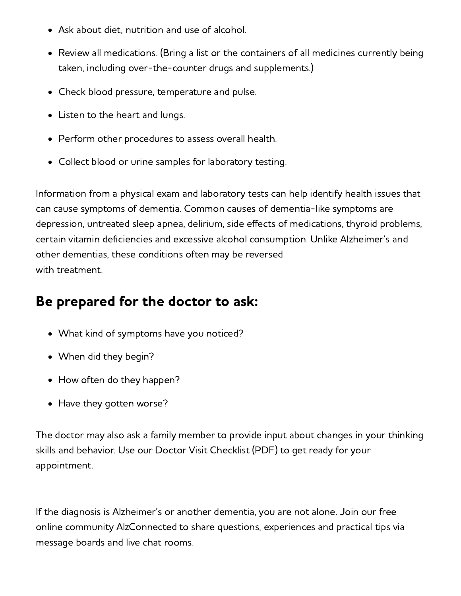- Ask about diet, nutrition and use of alcohol.
- Review all medications. (Bring a list or the containers of all medicines currently being taken, including over-the-counter drugs and supplements.)
- Check blood pressure, temperature and pulse.
- Listen to the heart and lungs.
- Perform other procedures to assess overall health.
- Collect blood or urine samples for laboratory testing.

Information from a physical exam and laboratory tests can help identify health issues that can cause symptoms of dementia. Common causes of dementia-like symptoms are depression, untreated sleep apnea, delirium, side effects of medications, thyroid problems, certain vitamin deficiencies and excessive alcohol consumption. Unlike Alzheimer's and other dementias, these conditions often may be reversed with treatment.

# Be prepared for the doctor to ask:

- What kind of symptoms have you noticed?
- When did they begin?
- How often do they happen?
- Have they gotten worse?

The doctor may also ask a family member to provide input about changes in your thinking skills and behavior. Use our Doctor Visit [Checklist](https://www.alz.org/media/Documents/doctor-visit-checklist.pdf) (PDF) to get ready for your appointment.

If the diagnosis is Alzheimer's or another dementia, you are not alone. Join our free online community [AlzConnected](https://www.alzconnected.org/) to share questions, experiences and practical tips via message boards and live chat rooms.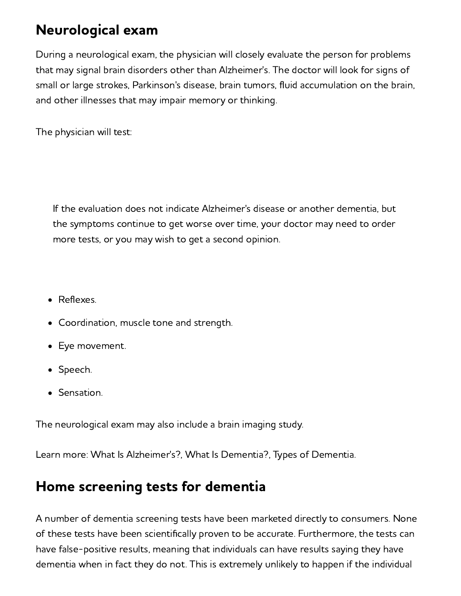# Neurological exam

During a neurological exam, the physician will closely evaluate the person for problems that may signal brain disorders other than Alzheimer's. The doctor will look for signs of small or large strokes, Parkinson's disease, brain tumors, fluid accumulation on the brain, and other illnesses that may impair memory or thinking.

The physician will test:

If the evaluation does not indicate Alzheimer's disease or another dementia, but the symptoms continue to get worse over time, your doctor may need to order more tests, or you may wish to get a second opinion.

- Reflexes.
- Coordination, muscle tone and strength.
- Eye movement.
- Speech.
- Sensation.

The neurological exam may also include a brain [imaging](#page-5-0) study.

Learn more: What Is [Alzheimer's?](https://www.alz.org/alzheimers-dementia/what-is-alzheimers), What Is [Dementia?](https://www.alz.org/alzheimer-s-dementia/what-is-dementia), Types of [Dementia.](https://www.alz.org/alzheimers-dementia/what-is-dementia/types-of-dementia)

## Home screening tests for dementia

A number of dementia screening tests have been marketed directly to consumers. None of these tests have been scientifically proven to be accurate. Furthermore, the tests can have false-positive results, meaning that individuals can have results saying they have dementia when in fact they do not. This is extremely unlikely to happen if the individual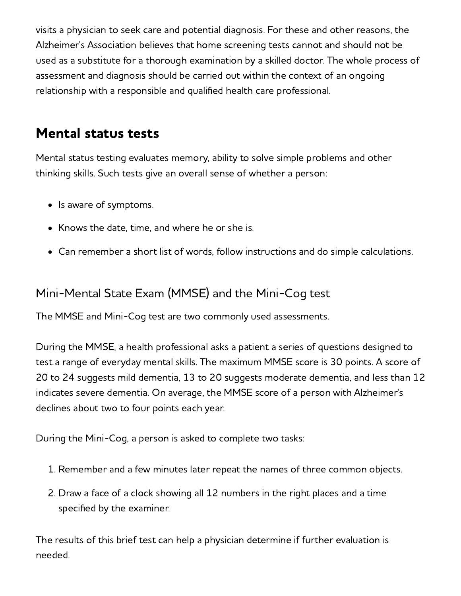visits a physician to seek care and potential diagnosis. For these and other reasons, the Alzheimer's Association believes that home screening tests cannot and should not be used as a substitute for a thorough examination by a skilled doctor. The whole process of assessment and diagnosis should be carried out within the context of an ongoing relationship with a responsible and qualified health care professional.

## Mental status tests

Mental status testing evaluates memory, ability to solve simple problems and other thinking skills. Such tests give an overall sense of whether a person:

- Is aware of symptoms.
- Knows the date, time, and where he or she is.
- Can remember a short list of words, follow instructions and do simple calculations.

### Mini-Mental State Exam (MMSE) and the Mini-Cog test

The MMSE and Mini-Cog test are two commonly used assessments.

During the MMSE, a health professional asks a patient a series of questions designed to test a range of everyday mental skills. The maximum MMSE score is 30 points. A score of 20 to 24 suggests mild dementia, 13 to 20 suggests moderate dementia, and less than 12 indicates severe dementia. On average, the MMSE score of a person with Alzheimer's declines about two to four points each year.

During the Mini-Cog, a person is asked to complete two tasks:

- 1. Remember and a few minutes later repeat the names of three common objects.
- 2. Draw a face of a clock showing all 12 numbers in the right places and a time specified by the examiner.

The results of this brief test can help a physician determine if further evaluation is needed.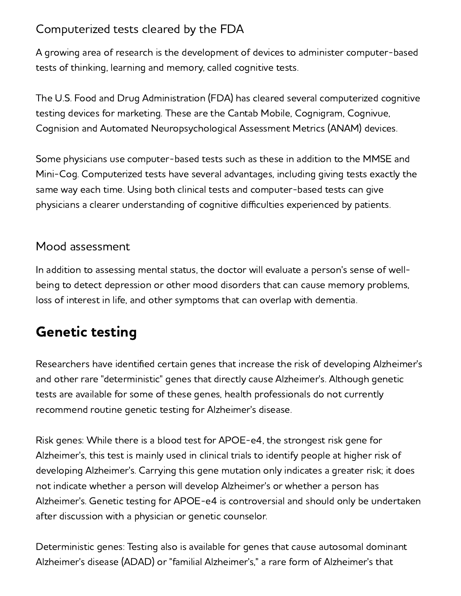### Computerized tests cleared by the FDA

A growing area of research is the development of devices to administer computer-based tests of thinking, learning and memory, called cognitive tests.

The U.S. Food and Drug Administration (FDA) has cleared several computerized cognitive testing devices for marketing. These are the Cantab Mobile, Cognigram, Cognivue, Cognision and Automated Neuropsychological Assessment Metrics (ANAM) devices.

Some physicians use computer-based tests such as these in addition to the MMSE and Mini-Cog. Computerized tests have several advantages, including giving tests exactly the same way each time. Using both clinical tests and computer-based tests can give physicians a clearer understanding of cognitive difficulties experienced by patients.

### Mood assessment

In addition to assessing mental status, the doctor will evaluate a person's sense of wellbeing to detect depression or other mood disorders that can cause memory problems, loss of interest in life, and other symptoms that can overlap with dementia.

# Genetic testing

Researchers have identified certain genes that increase the risk of developing Alzheimer's and other rare "deterministic" genes that directly cause Alzheimer's. Although genetic tests are available for some of these genes, health professionals do not currently recommend routine genetic testing for Alzheimer's disease.

Risk genes: While there is a blood test for APOE-e4, the strongest risk gene for Alzheimer's, this test is mainly used in clinical trials to identify people at higher risk of developing Alzheimer's. Carrying this gene mutation only indicates a greater risk; it does not indicate whether a person will develop Alzheimer's or whether a person has Alzheimer's. Genetic testing for APOE-e4 is controversial and should only be undertaken after discussion with a physician or genetic counselor.

Deterministic genes: Testing also is available for genes that cause autosomal dominant Alzheimer's disease (ADAD) or "familial Alzheimer's," a rare form of Alzheimer's that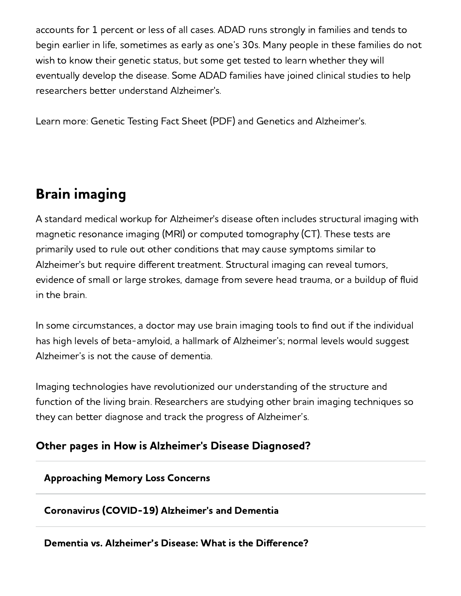accounts for 1 percent or less of all cases. ADAD runs strongly in families and tends to begin earlier in life, sometimes as early as one's 30s. Many people in these families do not wish to know their genetic status, but some get tested to learn whether they will eventually develop the disease. Some ADAD families have joined clinical studies to help researchers better understand Alzheimer's.

Learn more: [Genetic](https://www.alz.org/media/Documents/alzheimers-dementia-genetic-testing-ts.pdf) Testing Fact Sheet (PDF) and Genetics and [Alzheimer's](https://www.alz.org/alzheimers-dementia/what_is_alzheimers_(1)/risk-factors/genetics).

# <span id="page-5-0"></span>Brain imaging

A standard medical workup for Alzheimer's disease often includes [structural](https://www.alz.org/alzheimers-dementia/research_progress/earlier-diagnosis?#imaging) imaging with magnetic resonance imaging (MRI) or computed tomography (CT). These tests are primarily used to rule out other conditions that may cause symptoms similar to Alzheimer's but require different treatment. Structural imaging can reveal tumors, evidence of small or large strokes, damage from severe head trauma, or a buildup of fluid in the brain.

In some circumstances, a doctor may use brain imaging tools to find out if the individual has high levels of beta-amyloid, a hallmark of Alzheimer's; normal levels would suggest Alzheimer's is not the cause of dementia.

Imaging technologies have revolutionized our understanding of the structure and function of the living brain. Researchers are studying other brain imaging techniques so they can better diagnose and track the progress of Alzheimer's.

### Other pages in How is Alzheimer's Disease Diagnosed?

#### [Approaching](https://www.alz.org/alzheimers-dementia/memory-loss-concerns) Memory Loss Concerns

### [Coronavirus](https://www.alz.org/alzheimers-dementia/coronavirus-covid-19) (COVID-19) Alzheimer's and Dementia

#### Dementia vs. [Alzheimer's](https://www.alz.org/alzheimers-dementia/Difference-Between-Dementia-and-Alzheimer-s) Disease: What is the Difference?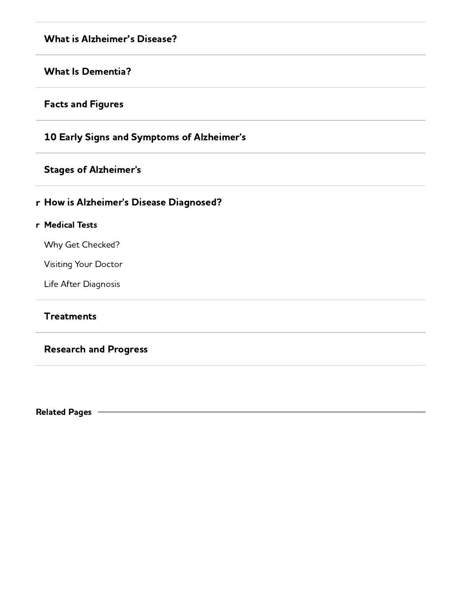#### What is [Alzheimer's](https://www.alz.org/alzheimers-dementia/what-is-alzheimers) Disease?

#### What Is [Dementia?](https://www.alz.org/alzheimers-dementia/What-is-Dementia)

#### Facts and [Figures](https://www.alz.org/alzheimers-dementia/Facts-Figures)

#### 10 Early Signs and Symptoms of [Alzheimer's](https://www.alz.org/alzheimers-dementia/10_signs)

#### Stages of [Alzheimer's](https://www.alz.org/alzheimers-dementia/Stages)

#### r How is [Alzheimer's](https://www.alz.org/CMSWebParts/ALZ/Menu/#1932) Disease Diagnosed?

#### r [Medical](https://www.alz.org/alzheimers-dementia/Diagnosis/Medical_Tests) Tests

Why Get [Checked?](https://www.alz.org/alzheimers-dementia/Diagnosis/Why-Get-Checked)

[Visiting](https://www.alz.org/alzheimers-dementia/Diagnosis/Visiting-Your-Doctor) Your Doctor

Life After [Diagnosis](https://www.alz.org/alzheimers-dementia/Diagnosis/Life-After-Diagnosis)

#### **[Treatments](https://www.alz.org/alzheimers-dementia/Treatments)**

#### [Research](https://www.alz.org/alzheimers-dementia/Research_Progress) and Progress

Related Pages